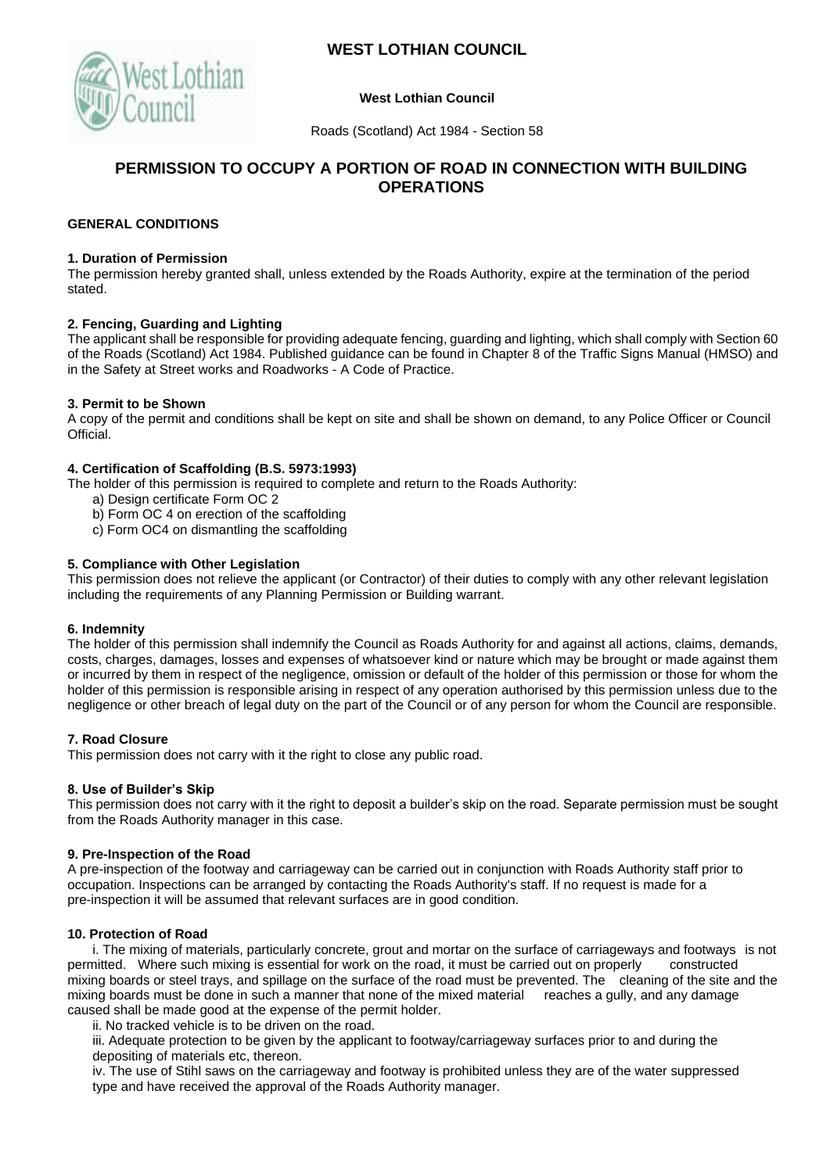



## **West Lothian Council**

Roads (Scotland) Act 1984 - Section 58

# **PERMISSION TO OCCUPY A PORTION OF ROAD IN CONNECTION WITH BUILDING OPERATIONS**

# **GENERAL CONDITIONS**

#### **1. Duration of Permission**

The permission hereby granted shall, unless extended by the Roads Authority, expire at the termination of the period stated.

## **2. Fencing, Guarding and Lighting**

The applicant shall be responsible for providing adequate fencing, guarding and lighting, which shall comply with Section 60 of the Roads (Scotland) Act 1984. Published guidance can be found in Chapter 8 of the Traffic Signs Manual (HMSO) and in the Safety at Street works and Roadworks - A Code of Practice.

## **3. Permit to be Shown**

A copy of the permit and conditions shall be kept on site and shall be shown on demand, to any Police Officer or Council Official.

## **4. Certification of Scaffolding (B.S. 5973:1993)**

The holder of this permission is required to complete and return to the Roads Authority:

- a) Design certificate Form OC 2
- b) Form OC 4 on erection of the scaffolding
- c) Form OC4 on dismantling the scaffolding

## **5. Compliance with Other Legislation**

This permission does not relieve the applicant (or Contractor) of their duties to comply with any other relevant legislation including the requirements of any Planning Permission or Building warrant.

## **6. Indemnity**

The holder of this permission shall indemnify the Council as Roads Authority for and against all actions, claims, demands, costs, charges, damages, losses and expenses of whatsoever kind or nature which may be brought or made against them or incurred by them in respect of the negligence, omission or default of the holder of this permission or those for whom the holder of this permission is responsible arising in respect of any operation authorised by this permission unless due to the negligence or other breach of legal duty on the part of the Council or of any person for whom the Council are responsible.

## **7. Road Closure**

This permission does not carry with it the right to close any public road.

## **8. Use of Builder's Skip**

This permission does not carry with it the right to deposit a builder's skip on the road. Separate permission must be sought from the Roads Authority manager in this case.

## **9. Pre-Inspection of the Road**

A pre-inspection of the footway and carriageway can be carried out in conjunction with Roads Authority staff prior to occupation. Inspections can be arranged by contacting the Roads Authority's staff. If no request is made for a pre-inspection it will be assumed that relevant surfaces are in good condition.

## **10. Protection of Road**

i. The mixing of materials, particularly concrete, grout and mortar on the surface of carriageways and footways is not permitted. Where such mixing is essential for work on the road, it must be carried out on properly constructed mixing boards or steel trays, and spillage on the surface of the road must be prevented. The cleaning of the site and the mixing boards must be done in such a manner that none of the mixed material reaches a gully, and any damage caused shall be made good at the expense of the permit holder.

ii. No tracked vehicle is to be driven on the road.

iii. Adequate protection to be given by the applicant to footway/carriageway surfaces prior to and during the depositing of materials etc, thereon.

iv. The use of Stihl saws on the carriageway and footway is prohibited unless they are of the water suppressed type and have received the approval of the Roads Authority manager.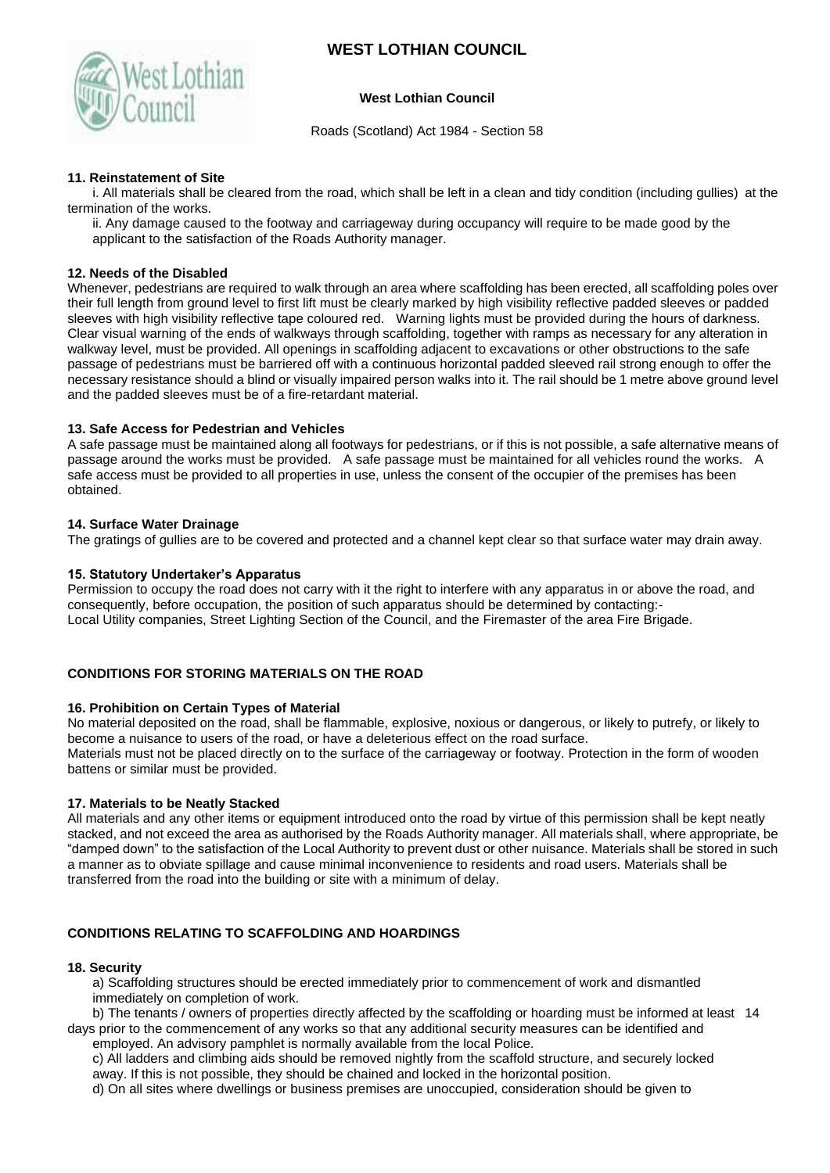

## **West Lothian Council**

Roads (Scotland) Act 1984 - Section 58

## **11. Reinstatement of Site**

i. All materials shall be cleared from the road, which shall be left in a clean and tidy condition (including gullies) at the termination of the works.

ii. Any damage caused to the footway and carriageway during occupancy will require to be made good by the applicant to the satisfaction of the Roads Authority manager.

## **12. Needs of the Disabled**

Whenever, pedestrians are required to walk through an area where scaffolding has been erected, all scaffolding poles over their full length from ground level to first lift must be clearly marked by high visibility reflective padded sleeves or padded sleeves with high visibility reflective tape coloured red. Warning lights must be provided during the hours of darkness. Clear visual warning of the ends of walkways through scaffolding, together with ramps as necessary for any alteration in walkway level, must be provided. All openings in scaffolding adjacent to excavations or other obstructions to the safe passage of pedestrians must be barriered off with a continuous horizontal padded sleeved rail strong enough to offer the necessary resistance should a blind or visually impaired person walks into it. The rail should be 1 metre above ground level and the padded sleeves must be of a fire-retardant material.

## **13. Safe Access for Pedestrian and Vehicles**

A safe passage must be maintained along all footways for pedestrians, or if this is not possible, a safe alternative means of passage around the works must be provided. A safe passage must be maintained for all vehicles round the works. A safe access must be provided to all properties in use, unless the consent of the occupier of the premises has been obtained.

## **14. Surface Water Drainage**

The gratings of gullies are to be covered and protected and a channel kept clear so that surface water may drain away.

## **15. Statutory Undertaker's Apparatus**

Permission to occupy the road does not carry with it the right to interfere with any apparatus in or above the road, and consequently, before occupation, the position of such apparatus should be determined by contacting:- Local Utility companies, Street Lighting Section of the Council, and the Firemaster of the area Fire Brigade.

## **CONDITIONS FOR STORING MATERIALS ON THE ROAD**

## **16. Prohibition on Certain Types of Material**

No material deposited on the road, shall be flammable, explosive, noxious or dangerous, or likely to putrefy, or likely to become a nuisance to users of the road, or have a deleterious effect on the road surface. Materials must not be placed directly on to the surface of the carriageway or footway. Protection in the form of wooden battens or similar must be provided.

## **17. Materials to be Neatly Stacked**

All materials and any other items or equipment introduced onto the road by virtue of this permission shall be kept neatly stacked, and not exceed the area as authorised by the Roads Authority manager. All materials shall, where appropriate, be "damped down" to the satisfaction of the Local Authority to prevent dust or other nuisance. Materials shall be stored in such a manner as to obviate spillage and cause minimal inconvenience to residents and road users. Materials shall be transferred from the road into the building or site with a minimum of delay.

## **CONDITIONS RELATING TO SCAFFOLDING AND HOARDINGS**

## **18. Security**

a) Scaffolding structures should be erected immediately prior to commencement of work and dismantled immediately on completion of work.

b) The tenants / owners of properties directly affected by the scaffolding or hoarding must be informed at least 14 days prior to the commencement of any works so that any additional security measures can be identified and employed. An advisory pamphlet is normally available from the local Police.

c) All ladders and climbing aids should be removed nightly from the scaffold structure, and securely locked away. If this is not possible, they should be chained and locked in the horizontal position.

d) On all sites where dwellings or business premises are unoccupied, consideration should be given to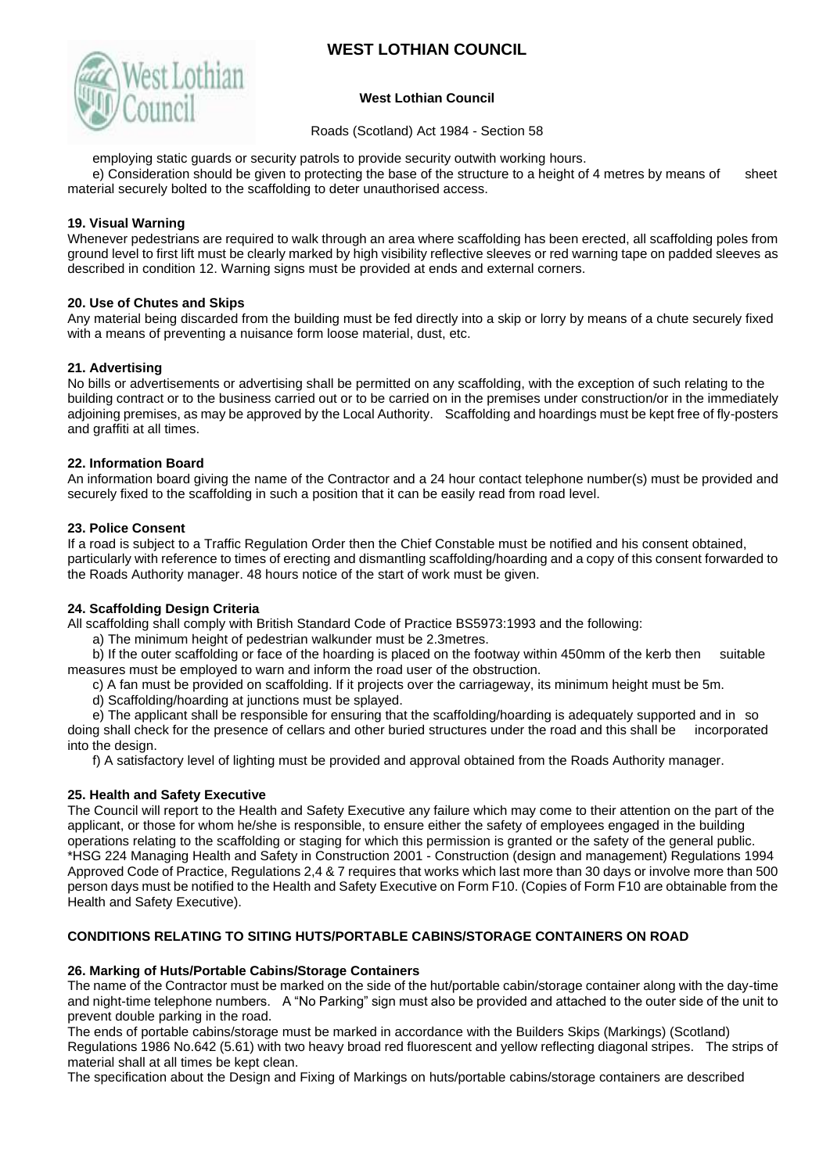

## **West Lothian Council**

Roads (Scotland) Act 1984 - Section 58

employing static guards or security patrols to provide security outwith working hours.

e) Consideration should be given to protecting the base of the structure to a height of 4 metres by means of sheet material securely bolted to the scaffolding to deter unauthorised access.

## **19. Visual Warning**

Whenever pedestrians are required to walk through an area where scaffolding has been erected, all scaffolding poles from ground level to first lift must be clearly marked by high visibility reflective sleeves or red warning tape on padded sleeves as described in condition 12. Warning signs must be provided at ends and external corners.

## **20. Use of Chutes and Skips**

Any material being discarded from the building must be fed directly into a skip or lorry by means of a chute securely fixed with a means of preventing a nuisance form loose material, dust, etc.

## **21. Advertising**

No bills or advertisements or advertising shall be permitted on any scaffolding, with the exception of such relating to the building contract or to the business carried out or to be carried on in the premises under construction/or in the immediately adjoining premises, as may be approved by the Local Authority. Scaffolding and hoardings must be kept free of fly-posters and graffiti at all times.

## **22. Information Board**

An information board giving the name of the Contractor and a 24 hour contact telephone number(s) must be provided and securely fixed to the scaffolding in such a position that it can be easily read from road level.

## **23. Police Consent**

If a road is subject to a Traffic Regulation Order then the Chief Constable must be notified and his consent obtained, particularly with reference to times of erecting and dismantling scaffolding/hoarding and a copy of this consent forwarded to the Roads Authority manager. 48 hours notice of the start of work must be given.

## **24. Scaffolding Design Criteria**

All scaffolding shall comply with British Standard Code of Practice BS5973:1993 and the following:

a) The minimum height of pedestrian walkunder must be 2.3metres.

b) If the outer scaffolding or face of the hoarding is placed on the footway within 450mm of the kerb then suitable measures must be employed to warn and inform the road user of the obstruction.

- c) A fan must be provided on scaffolding. If it projects over the carriageway, its minimum height must be 5m.
- d) Scaffolding/hoarding at junctions must be splayed.

e) The applicant shall be responsible for ensuring that the scaffolding/hoarding is adequately supported and in so doing shall check for the presence of cellars and other buried structures under the road and this shall be incorporated into the design.

f) A satisfactory level of lighting must be provided and approval obtained from the Roads Authority manager.

## **25. Health and Safety Executive**

The Council will report to the Health and Safety Executive any failure which may come to their attention on the part of the applicant, or those for whom he/she is responsible, to ensure either the safety of employees engaged in the building operations relating to the scaffolding or staging for which this permission is granted or the safety of the general public. \*HSG 224 Managing Health and Safety in Construction 2001 - Construction (design and management) Regulations 1994 Approved Code of Practice, Regulations 2,4 & 7 requires that works which last more than 30 days or involve more than 500 person days must be notified to the Health and Safety Executive on Form F10. (Copies of Form F10 are obtainable from the Health and Safety Executive).

# **CONDITIONS RELATING TO SITING HUTS/PORTABLE CABINS/STORAGE CONTAINERS ON ROAD**

## **26. Marking of Huts/Portable Cabins/Storage Containers**

The name of the Contractor must be marked on the side of the hut/portable cabin/storage container along with the day-time and night-time telephone numbers. A "No Parking" sign must also be provided and attached to the outer side of the unit to prevent double parking in the road.

The ends of portable cabins/storage must be marked in accordance with the Builders Skips (Markings) (Scotland) Regulations 1986 No.642 (5.61) with two heavy broad red fluorescent and yellow reflecting diagonal stripes. The strips of material shall at all times be kept clean.

The specification about the Design and Fixing of Markings on huts/portable cabins/storage containers are described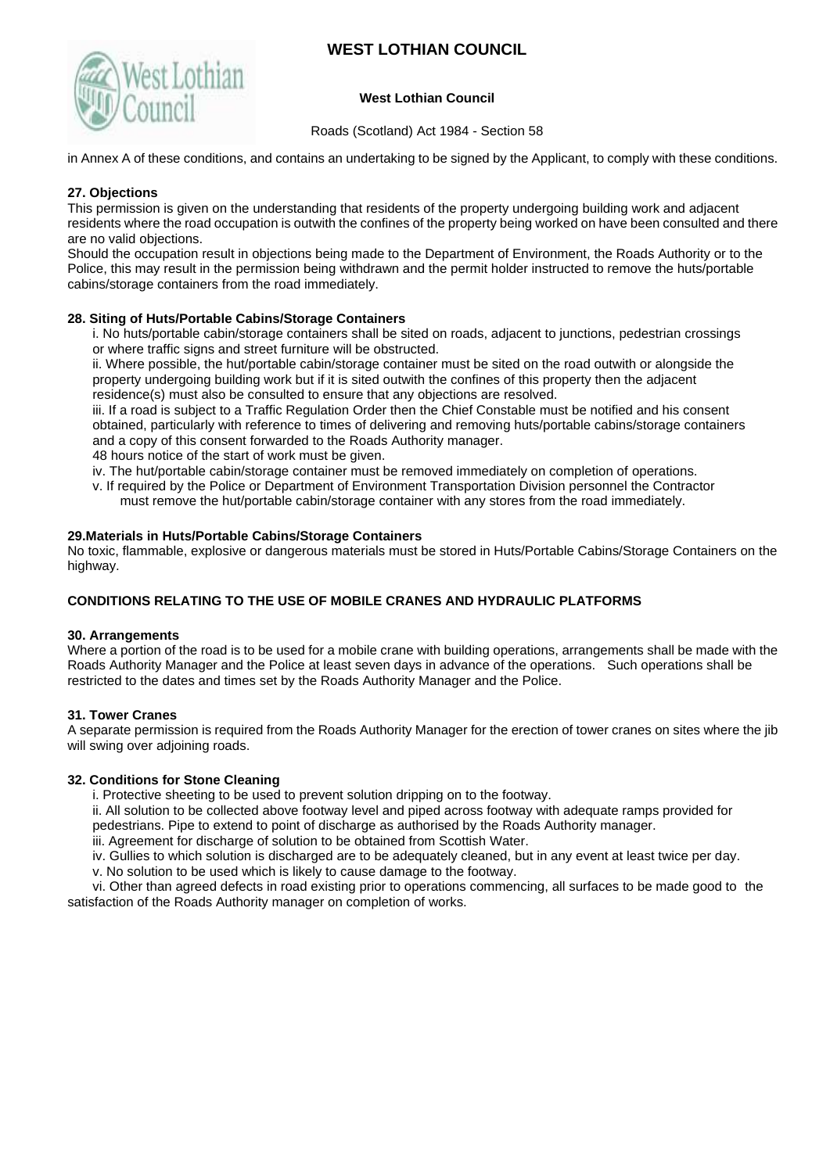

## **West Lothian Council**

Roads (Scotland) Act 1984 - Section 58

in Annex A of these conditions, and contains an undertaking to be signed by the Applicant, to comply with these conditions.

## **27. Objections**

This permission is given on the understanding that residents of the property undergoing building work and adjacent residents where the road occupation is outwith the confines of the property being worked on have been consulted and there are no valid objections.

Should the occupation result in objections being made to the Department of Environment, the Roads Authority or to the Police, this may result in the permission being withdrawn and the permit holder instructed to remove the huts/portable cabins/storage containers from the road immediately.

## **28. Siting of Huts/Portable Cabins/Storage Containers**

i. No huts/portable cabin/storage containers shall be sited on roads, adjacent to junctions, pedestrian crossings or where traffic signs and street furniture will be obstructed.

ii. Where possible, the hut/portable cabin/storage container must be sited on the road outwith or alongside the property undergoing building work but if it is sited outwith the confines of this property then the adjacent residence(s) must also be consulted to ensure that any objections are resolved.

iii. If a road is subject to a Traffic Regulation Order then the Chief Constable must be notified and his consent obtained, particularly with reference to times of delivering and removing huts/portable cabins/storage containers and a copy of this consent forwarded to the Roads Authority manager.

48 hours notice of the start of work must be given.

iv. The hut/portable cabin/storage container must be removed immediately on completion of operations.

- v. If required by the Police or Department of Environment Transportation Division personnel the Contractor
	- must remove the hut/portable cabin/storage container with any stores from the road immediately.

## **29.Materials in Huts/Portable Cabins/Storage Containers**

No toxic, flammable, explosive or dangerous materials must be stored in Huts/Portable Cabins/Storage Containers on the highway.

## **CONDITIONS RELATING TO THE USE OF MOBILE CRANES AND HYDRAULIC PLATFORMS**

## **30. Arrangements**

Where a portion of the road is to be used for a mobile crane with building operations, arrangements shall be made with the Roads Authority Manager and the Police at least seven days in advance of the operations. Such operations shall be restricted to the dates and times set by the Roads Authority Manager and the Police.

## **31. Tower Cranes**

A separate permission is required from the Roads Authority Manager for the erection of tower cranes on sites where the jib will swing over adjoining roads.

## **32. Conditions for Stone Cleaning**

i. Protective sheeting to be used to prevent solution dripping on to the footway.

ii. All solution to be collected above footway level and piped across footway with adequate ramps provided for pedestrians. Pipe to extend to point of discharge as authorised by the Roads Authority manager.

iii. Agreement for discharge of solution to be obtained from Scottish Water.

iv. Gullies to which solution is discharged are to be adequately cleaned, but in any event at least twice per day.

v. No solution to be used which is likely to cause damage to the footway.

vi. Other than agreed defects in road existing prior to operations commencing, all surfaces to be made good to the satisfaction of the Roads Authority manager on completion of works.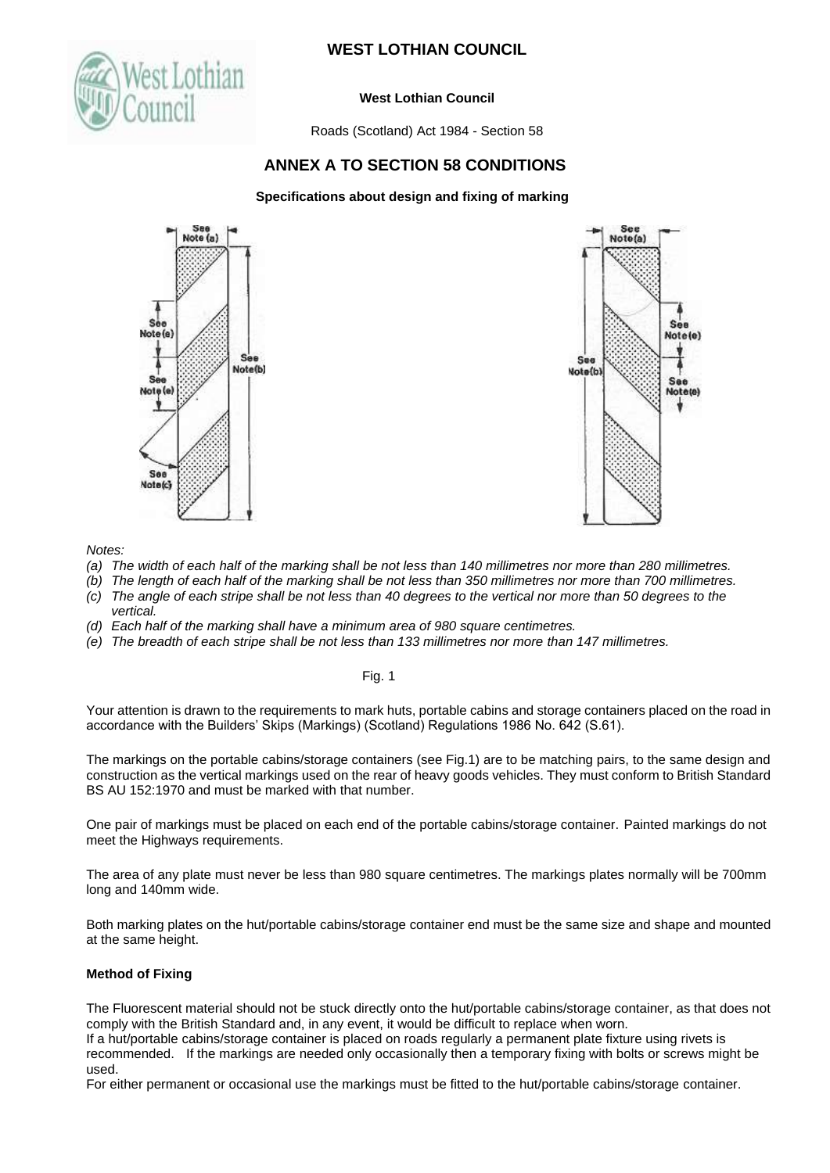

## **West Lothian Council**

Roads (Scotland) Act 1984 - Section 58

# **ANNEX A TO SECTION 58 CONDITIONS**

## **Specifications about design and fixing of marking**





*Notes:*

- *(a) The width of each half of the marking shall be not less than 140 millimetres nor more than 280 millimetres.*
- *(b) The length of each half of the marking shall be not less than 350 millimetres nor more than 700 millimetres.*
- *(c) The angle of each stripe shall be not less than 40 degrees to the vertical nor more than 50 degrees to the vertical.*
- *(d) Each half of the marking shall have a minimum area of 980 square centimetres.*
- *(e) The breadth of each stripe shall be not less than 133 millimetres nor more than 147 millimetres.*

Fig. 1

Your attention is drawn to the requirements to mark huts, portable cabins and storage containers placed on the road in accordance with the Builders' Skips (Markings) (Scotland) Regulations 1986 No. 642 (S.61).

The markings on the portable cabins/storage containers (see Fig.1) are to be matching pairs, to the same design and construction as the vertical markings used on the rear of heavy goods vehicles. They must conform to British Standard BS AU 152:1970 and must be marked with that number.

One pair of markings must be placed on each end of the portable cabins/storage container. Painted markings do not meet the Highways requirements.

The area of any plate must never be less than 980 square centimetres. The markings plates normally will be 700mm long and 140mm wide.

Both marking plates on the hut/portable cabins/storage container end must be the same size and shape and mounted at the same height.

## **Method of Fixing**

The Fluorescent material should not be stuck directly onto the hut/portable cabins/storage container, as that does not comply with the British Standard and, in any event, it would be difficult to replace when worn.

If a hut/portable cabins/storage container is placed on roads regularly a permanent plate fixture using rivets is recommended. If the markings are needed only occasionally then a temporary fixing with bolts or screws might be used.

For either permanent or occasional use the markings must be fitted to the hut/portable cabins/storage container.